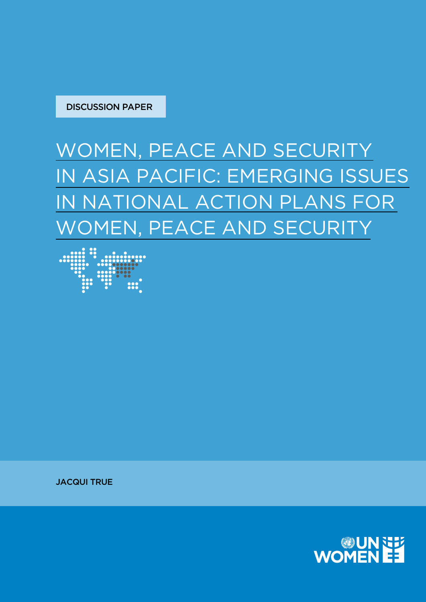

### WOMEN, PEACE AND SECURITY IN ASIA PACIFIC: EMERGING ISSUES IN NATIONAL ACTION PLANS FOR WOMEN, PEACE AND SECURITY



JACQUI TRUE

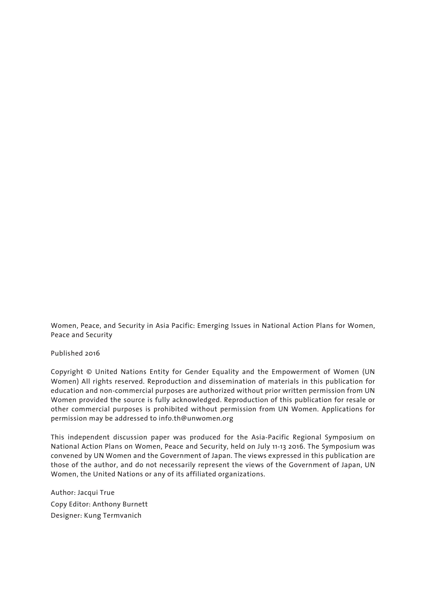Women, Peace, and Security in Asia Pacific: Emerging Issues in National Action Plans for Women, Peace and Security

Published 2016

Copyright © United Nations Entity for Gender Equality and the Empowerment of Women (UN Women) All rights reserved. Reproduction and dissemination of materials in this publication for education and non-commercial purposes are authorized without prior written permission from UN Women provided the source is fully acknowledged. Reproduction of this publication for resale or other commercial purposes is prohibited without permission from UN Women. Applications for permission may be addressed to info.th@unwomen.org

This independent discussion paper was produced for the Asia-Pacific Regional Symposium on National Action Plans on Women, Peace and Security, held on July 11-13 2016. The Symposium was convened by UN Women and the Government of Japan. The views expressed in this publication are those of the author, and do not necessarily represent the views of the Government of Japan, UN Women, the United Nations or any of its affiliated organizations.

Author: Jacqui True Copy Editor: Anthony Burnett Designer: Kung Termvanich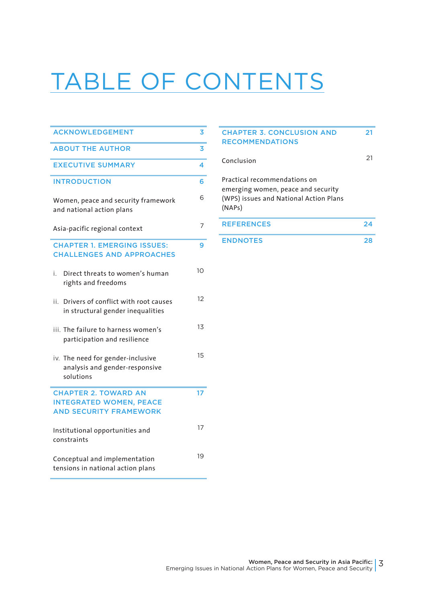# TABLE OF CONTENTS

| <b>ACKNOWLEDGEMENT</b>                                                                         | 3  |
|------------------------------------------------------------------------------------------------|----|
| <b>ABOUT THE AUTHOR</b>                                                                        | 3  |
| <b>EXECUTIVE SUMMARY</b>                                                                       | 4  |
| <b>INTRODUCTION</b>                                                                            | 6  |
| Women, peace and security framework<br>and national action plans                               | 6  |
| Asia-pacific regional context                                                                  | 7  |
| <b>CHAPTER 1. EMERGING ISSUES:</b><br><b>CHALLENGES AND APPROACHES</b>                         | 9  |
| i.<br>Direct threats to women's human<br>rights and freedoms                                   | 10 |
| Drivers of conflict with root causes<br>ii.<br>in structural gender inequalities               | 12 |
| iii. The failure to harness women's<br>participation and resilience                            | 13 |
| iv. The need for gender-inclusive<br>analysis and gender-responsive<br>solutions               | 15 |
| <b>CHAPTER 2. TOWARD AN</b><br><b>INTEGRATED WOMEN, PEACE</b><br><b>AND SECURITY FRAMEWORK</b> | 17 |
| Institutional opportunities and<br>constraints                                                 | 17 |
| Conceptual and implementation<br>tensions in national action plans                             | 19 |

#### CHAPTER 3. CONCLUSION AND RECOMMENDATIONS 21 Conclusion <sup>21</sup> Practical recommendations on emerging women, peace and security (WPS) issues and National Action Plans (NAPs) REFERENCES 24 ENDNOTES 28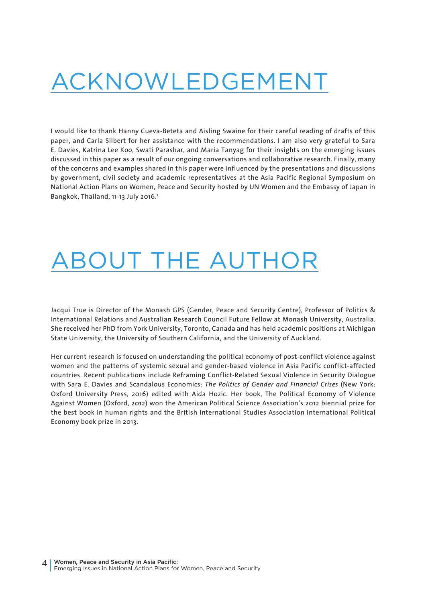### ACKNOWLEDGEMENT

I would like to thank Hanny Cueva-Beteta and Aisling Swaine for their careful reading of drafts of this paper, and Carla Silbert for her assistance with the recommendations. I am also very grateful to Sara E. Davies, Katrina Lee Koo, Swati Parashar, and Maria Tanyag for their insights on the emerging issues discussed in this paper as a result of our ongoing conversations and collaborative research. Finally, many of the concerns and examples shared in this paper were influenced by the presentations and discussions by government, civil society and academic representatives at the Asia Pacific Regional Symposium on National Action Plans on Women, Peace and Security hosted by UN Women and the Embassy of Japan in Bangkok, Thailand, 11-13 July 2016.<sup>1</sup>

## ABOUT THE AUTHOR

Jacqui True is Director of the Monash GPS (Gender, Peace and Security Centre), Professor of Politics & International Relations and Australian Research Council Future Fellow at Monash University, Australia. She received her PhD from York University, Toronto, Canada and has held academic positions at Michigan State University, the University of Southern California, and the University of Auckland.

Her current research is focused on understanding the political economy of post-conflict violence against women and the patterns of systemic sexual and gender-based violence in Asia Pacific conflict-affected countries. Recent publications include Reframing Conflict-Related Sexual Violence in Security Dialogue with Sara E. Davies and Scandalous Economics: *The Politics of Gender and Financial Crises* (New York: Oxford University Press, 2016) edited with Aida Hozic. Her book, The Political Economy of Violence Against Women (Oxford, 2012) won the American Political Science Association's 2012 biennial prize for the best book in human rights and the British International Studies Association International Political Economy book prize in 2013.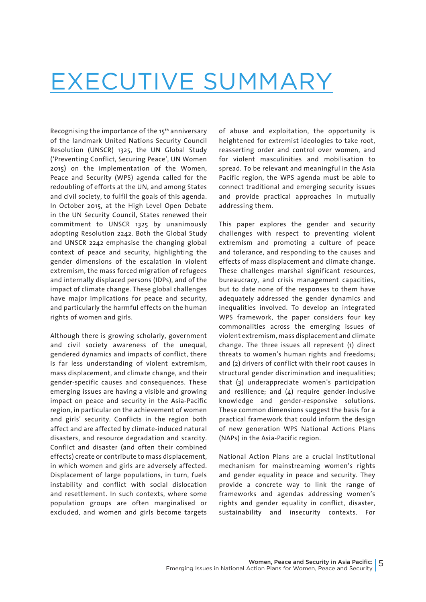### EXECUTIVE SUMMARY

Recognising the importance of the 15th anniversary of the landmark United Nations Security Council Resolution (UNSCR) 1325, the UN Global Study ('Preventing Conflict, Securing Peace', UN Women 2015) on the implementation of the Women, Peace and Security (WPS) agenda called for the redoubling of efforts at the UN, and among States and civil society, to fulfil the goals of this agenda. In October 2015, at the High Level Open Debate in the UN Security Council, States renewed their commitment to UNSCR 1325 by unanimously adopting Resolution 2242. Both the Global Study and UNSCR 2242 emphasise the changing global context of peace and security, highlighting the gender dimensions of the escalation in violent extremism, the mass forced migration of refugees and internally displaced persons (IDPs), and of the impact of climate change. These global challenges have major implications for peace and security, and particularly the harmful effects on the human rights of women and girls.

Although there is growing scholarly, government and civil society awareness of the unequal, gendered dynamics and impacts of conflict, there is far less understanding of violent extremism, mass displacement, and climate change, and their gender-specific causes and consequences. These emerging issues are having a visible and growing impact on peace and security in the Asia-Pacific region, in particular on the achievement of women and girls' security. Conflicts in the region both affect and are affected by climate-induced natural disasters, and resource degradation and scarcity. Conflict and disaster (and often their combined effects) create or contribute to mass displacement, in which women and girls are adversely affected. Displacement of large populations, in turn, fuels instability and conflict with social dislocation and resettlement. In such contexts, where some population groups are often marginalised or excluded, and women and girls become targets of abuse and exploitation, the opportunity is heightened for extremist ideologies to take root, reasserting order and control over women, and for violent masculinities and mobilisation to spread. To be relevant and meaningful in the Asia Pacific region, the WPS agenda must be able to connect traditional and emerging security issues and provide practical approaches in mutually addressing them.

This paper explores the gender and security challenges with respect to preventing violent extremism and promoting a culture of peace and tolerance, and responding to the causes and effects of mass displacement and climate change. These challenges marshal significant resources, bureaucracy, and crisis management capacities, but to date none of the responses to them have adequately addressed the gender dynamics and inequalities involved. To develop an integrated WPS framework, the paper considers four key commonalities across the emerging issues of violent extremism, mass displacement and climate change. The three issues all represent (1) direct threats to women's human rights and freedoms; and (2) drivers of conflict with their root causes in structural gender discrimination and inequalities; that (3) underappreciate women's participation and resilience; and (4) require gender-inclusive knowledge and gender-responsive solutions. These common dimensions suggest the basis for a practical framework that could inform the design of new generation WPS National Actions Plans (NAPs) in the Asia-Pacific region.

National Action Plans are a crucial institutional mechanism for mainstreaming women's rights and gender equality in peace and security. They provide a concrete way to link the range of frameworks and agendas addressing women's rights and gender equality in conflict, disaster, sustainability and insecurity contexts. For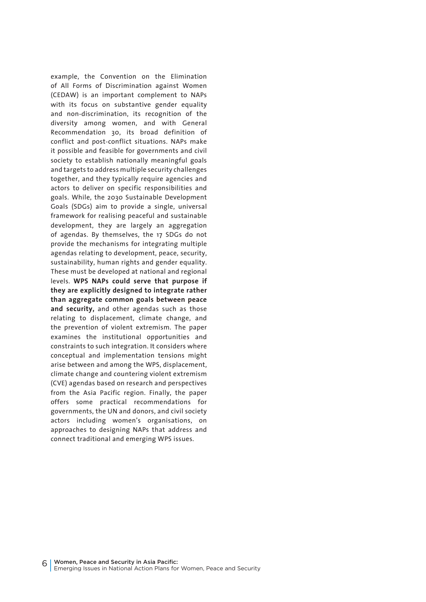example, the Convention on the Elimination of All Forms of Discrimination against Women (CEDAW) is an important complement to NAPs with its focus on substantive gender equality and non-discrimination, its recognition of the diversity among women, and with General Recommendation 30, its broad definition of conflict and post-conflict situations. NAPs make it possible and feasible for governments and civil society to establish nationally meaningful goals and targets to address multiple security challenges together, and they typically require agencies and actors to deliver on specific responsibilities and goals. While, the 2030 Sustainable Development Goals (SDGs) aim to provide a single, universal framework for realising peaceful and sustainable development, they are largely an aggregation of agendas. By themselves, the 17 SDGs do not provide the mechanisms for integrating multiple agendas relating to development, peace, security, sustainability, human rights and gender equality. These must be developed at national and regional levels. **WPS NAPs could serve that purpose if they are explicitly designed to integrate rather than aggregate common goals between peace and security,** and other agendas such as those relating to displacement, climate change, and the prevention of violent extremism. The paper examines the institutional opportunities and constraints to such integration. It considers where conceptual and implementation tensions might arise between and among the WPS, displacement, climate change and countering violent extremism (CVE) agendas based on research and perspectives from the Asia Pacific region. Finally, the paper offers some practical recommendations for governments, the UN and donors, and civil society actors including women's organisations, on approaches to designing NAPs that address and connect traditional and emerging WPS issues.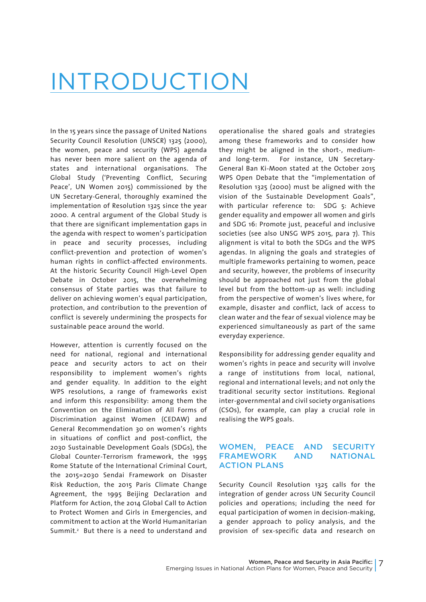### INTRODUCTION

In the 15 years since the passage of United Nations Security Council Resolution (UNSCR) 1325 (2000), the women, peace and security (WPS) agenda has never been more salient on the agenda of states and international organisations. The Global Study ('Preventing Conflict, Securing Peace', UN Women 2015) commissioned by the UN Secretary-General, thoroughly examined the implementation of Resolution 1325 since the year 2000. A central argument of the Global Study is that there are significant implementation gaps in the agenda with respect to women's participation in peace and security processes, including conflict-prevention and protection of women's human rights in conflict-affected environments. At the historic Security Council High-Level Open Debate in October 2015, the overwhelming consensus of State parties was that failure to deliver on achieving women's equal participation, protection, and contribution to the prevention of conflict is severely undermining the prospects for sustainable peace around the world.

However, attention is currently focused on the need for national, regional and international peace and security actors to act on their responsibility to implement women's rights and gender equality. In addition to the eight WPS resolutions, a range of frameworks exist and inform this responsibility: among them the Convention on the Elimination of All Forms of Discrimination against Women (CEDAW) and General Recommendation 30 on women's rights in situations of conflict and post-conflict, the 2030 Sustainable Development Goals (SDGs), the Global Counter-Terrorism framework, the 1995 Rome Statute of the International Criminal Court, the 2015=2030 Sendai Framework on Disaster Risk Reduction, the 2015 Paris Climate Change Agreement, the 1995 Beijing Declaration and Platform for Action, the 2014 Global Call to Action to Protect Women and Girls in Emergencies, and commitment to action at the World Humanitarian Summit.<sup>2</sup> But there is a need to understand and operationalise the shared goals and strategies among these frameworks and to consider how they might be aligned in the short-, mediumand long-term. For instance, UN Secretary-General Ban Ki-Moon stated at the October 2015 WPS Open Debate that the "implementation of Resolution 1325 (2000) must be aligned with the vision of the Sustainable Development Goals", with particular reference to: SDG 5: Achieve gender equality and empower all women and girls and SDG 16: Promote just, peaceful and inclusive societies (see also UNSG WPS 2015, para 7). This alignment is vital to both the SDGs and the WPS agendas. In aligning the goals and strategies of multiple frameworks pertaining to women, peace and security, however, the problems of insecurity should be approached not just from the global level but from the bottom-up as well: including from the perspective of women's lives where, for example, disaster and conflict, lack of access to clean water and the fear of sexual violence may be experienced simultaneously as part of the same everyday experience.

Responsibility for addressing gender equality and women's rights in peace and security will involve a range of institutions from local, national, regional and international levels; and not only the traditional security sector institutions. Regional inter-governmental and civil society organisations (CSOs), for example, can play a crucial role in realising the WPS goals.

#### WOMEN, PEACE AND SECURITY FRAMEWORK AND NATIONAL ACTION PLANS

Security Council Resolution 1325 calls for the integration of gender across UN Security Council policies and operations; including the need for equal participation of women in decision-making, a gender approach to policy analysis, and the provision of sex-specific data and research on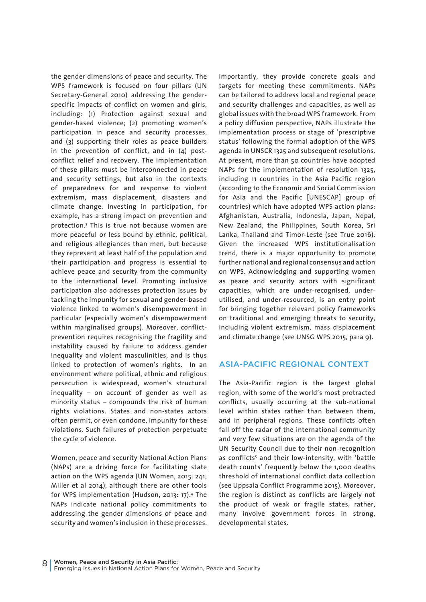the gender dimensions of peace and security. The WPS framework is focused on four pillars (UN Secretary-General 2010) addressing the genderspecific impacts of conflict on women and girls, including: (1) Protection against sexual and gender-based violence; (2) promoting women's participation in peace and security processes, and (3) supporting their roles as peace builders in the prevention of conflict, and in (4) postconflict relief and recovery. The implementation of these pillars must be interconnected in peace and security settings, but also in the contexts of preparedness for and response to violent extremism, mass displacement, disasters and climate change. Investing in participation, for example, has a strong impact on prevention and protection.3 This is true not because women are more peaceful or less bound by ethnic, political, and religious allegiances than men, but because they represent at least half of the population and their participation and progress is essential to achieve peace and security from the community to the international level. Promoting inclusive participation also addresses protection issues by tackling the impunity for sexual and gender-based violence linked to women's disempowerment in particular (especially women's disempowerment within marginalised groups). Moreover, conflictprevention requires recognising the fragility and instability caused by failure to address gender inequality and violent masculinities, and is thus linked to protection of women's rights. In an environment where political, ethnic and religious persecution is widespread, women's structural inequality – on account of gender as well as minority status – compounds the risk of human rights violations. States and non-states actors often permit, or even condone, impunity for these violations. Such failures of protection perpetuate the cycle of violence.

Women, peace and security National Action Plans (NAPs) are a driving force for facilitating state action on the WPS agenda (UN Women, 2015: 241; Miller et al 2014), although there are other tools for WPS implementation (Hudson, 2013: 17).4 The NAPs indicate national policy commitments to addressing the gender dimensions of peace and security and women's inclusion in these processes. Importantly, they provide concrete goals and targets for meeting these commitments. NAPs can be tailored to address local and regional peace and security challenges and capacities, as well as global issues with the broad WPS framework. From a policy diffusion perspective, NAPs illustrate the implementation process or stage of 'prescriptive status' following the formal adoption of the WPS agenda in UNSCR 1325 and subsequent resolutions. At present, more than 50 countries have adopted NAPs for the implementation of resolution 1325, including 11 countries in the Asia Pacific region (according to the Economic and Social Commission for Asia and the Pacific [UNESCAP] group of countries) which have adopted WPS action plans: Afghanistan, Australia, Indonesia, Japan, Nepal, New Zealand, the Philippines, South Korea, Sri Lanka, Thailand and Timor-Leste (see True 2016). Given the increased WPS institutionalisation trend, there is a major opportunity to promote further national and regional consensus and action on WPS. Acknowledging and supporting women as peace and security actors with significant capacities, which are under-recognised, underutilised, and under-resourced, is an entry point for bringing together relevant policy frameworks on traditional and emerging threats to security, including violent extremism, mass displacement and climate change (see UNSG WPS 2015, para 9).

#### ASIA-PACIFIC REGIONAL CONTEXT

The Asia-Pacific region is the largest global region, with some of the world's most protracted conflicts, usually occurring at the sub-national level within states rather than between them, and in peripheral regions. These conflicts often fall off the radar of the international community and very few situations are on the agenda of the UN Security Council due to their non-recognition as conflicts5 and their low-intensity, with 'battle death counts' frequently below the 1,000 deaths threshold of international conflict data collection (see Uppsala Conflict Programme 2015). Moreover, the region is distinct as conflicts are largely not the product of weak or fragile states, rather, many involve government forces in strong, developmental states.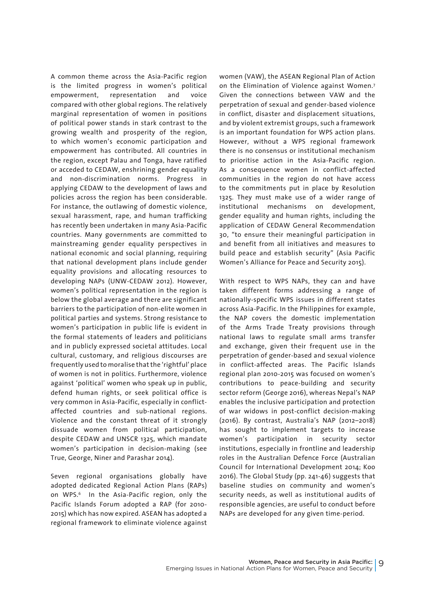A common theme across the Asia-Pacific region is the limited progress in women's political empowerment, representation and voice compared with other global regions. The relatively marginal representation of women in positions of political power stands in stark contrast to the growing wealth and prosperity of the region, to which women's economic participation and empowerment has contributed. All countries in the region, except Palau and Tonga, have ratified or acceded to CEDAW, enshrining gender equality and non-discrimination norms. Progress in applying CEDAW to the development of laws and policies across the region has been considerable. For instance, the outlawing of domestic violence, sexual harassment, rape, and human trafficking has recently been undertaken in many Asia-Pacific countries. Many governments are committed to mainstreaming gender equality perspectives in national economic and social planning, requiring that national development plans include gender equality provisions and allocating resources to developing NAPs (UNW-CEDAW 2012). However, women's political representation in the region is below the global average and there are significant barriers to the participation of non-elite women in political parties and systems. Strong resistance to women's participation in public life is evident in the formal statements of leaders and politicians and in publicly expressed societal attitudes. Local cultural, customary, and religious discourses are frequently used to moralise that the 'rightful' place of women is not in politics. Furthermore, violence against 'political' women who speak up in public, defend human rights, or seek political office is very common in Asia-Pacific, especially in conflictaffected countries and sub-national regions. Violence and the constant threat of it strongly dissuade women from political participation, despite CEDAW and UNSCR 1325, which mandate women's participation in decision-making (see True, George, Niner and Parashar 2014).

Seven regional organisations globally have adopted dedicated Regional Action Plans (RAPs) on WPS.6 In the Asia-Pacific region, only the Pacific Islands Forum adopted a RAP (for 2010- 2015) which has now expired. ASEAN has adopted a regional framework to eliminate violence against women (VAW), the ASEAN Regional Plan of Action on the Elimination of Violence against Women.7 Given the connections between VAW and the perpetration of sexual and gender-based violence in conflict, disaster and displacement situations, and by violent extremist groups, such a framework is an important foundation for WPS action plans. However, without a WPS regional framework there is no consensus or institutional mechanism to prioritise action in the Asia-Pacific region. As a consequence women in conflict-affected communities in the region do not have access to the commitments put in place by Resolution 1325. They must make use of a wider range of institutional mechanisms on development, gender equality and human rights, including the application of CEDAW General Recommendation 30, "to ensure their meaningful participation in and benefit from all initiatives and measures to build peace and establish security" (Asia Pacific Women's Alliance for Peace and Security 2015).

With respect to WPS NAPs, they can and have taken different forms addressing a range of nationally-specific WPS issues in different states across Asia-Pacific. In the Philippines for example, the NAP covers the domestic implementation of the Arms Trade Treaty provisions through national laws to regulate small arms transfer and exchange, given their frequent use in the perpetration of gender-based and sexual violence in conflict-affected areas. The Pacific Islands regional plan 2010-2015 was focused on women's contributions to peace-building and security sector reform (George 2016), whereas Nepal's NAP enables the inclusive participation and protection of war widows in post-conflict decision-making (2016). By contrast, Australia's NAP (2012–2018) has sought to implement targets to increase women's participation in security sector institutions, especially in frontline and leadership roles in the Australian Defence Force (Australian Council for International Development 2014; Koo 2016). The Global Study (pp. 241-46) suggests that baseline studies on community and women's security needs, as well as institutional audits of responsible agencies, are useful to conduct before NAPs are developed for any given time-period.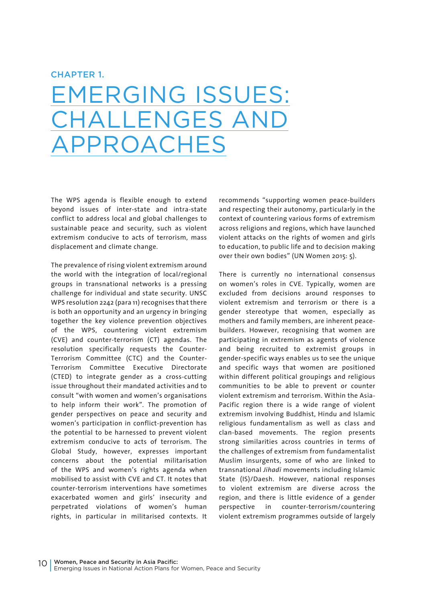#### CHAPTER 1.

### EMERGING ISSUES: CHALLENGES AND PROACHES

The WPS agenda is flexible enough to extend beyond issues of inter-state and intra-state conflict to address local and global challenges to sustainable peace and security, such as violent extremism conducive to acts of terrorism, mass displacement and climate change.

The prevalence of rising violent extremism around the world with the integration of local/regional groups in transnational networks is a pressing challenge for individual and state security. UNSC WPS resolution 2242 (para 11) recognises that there is both an opportunity and an urgency in bringing together the key violence prevention objectives of the WPS, countering violent extremism (CVE) and counter-terrorism (CT) agendas. The resolution specifically requests the Counter-Terrorism Committee (CTC) and the Counter-Terrorism Committee Executive Directorate (CTED) to integrate gender as a cross-cutting issue throughout their mandated activities and to consult "with women and women's organisations to help inform their work". The promotion of gender perspectives on peace and security and women's participation in conflict-prevention has the potential to be harnessed to prevent violent extremism conducive to acts of terrorism. The Global Study, however, expresses important concerns about the potential militarisation of the WPS and women's rights agenda when mobilised to assist with CVE and CT. It notes that counter-terrorism interventions have sometimes exacerbated women and girls' insecurity and perpetrated violations of women's human rights, in particular in militarised contexts. It

recommends "supporting women peace-builders and respecting their autonomy, particularly in the context of countering various forms of extremism across religions and regions, which have launched violent attacks on the rights of women and girls to education, to public life and to decision making over their own bodies" (UN Women 2015: 5).

There is currently no international consensus on women's roles in CVE. Typically, women are excluded from decisions around responses to violent extremism and terrorism or there is a gender stereotype that women, especially as mothers and family members, are inherent peacebuilders. However, recognising that women are participating in extremism as agents of violence and being recruited to extremist groups in gender-specific ways enables us to see the unique and specific ways that women are positioned within different political groupings and religious communities to be able to prevent or counter violent extremism and terrorism. Within the Asia-Pacific region there is a wide range of violent extremism involving Buddhist, Hindu and Islamic religious fundamentalism as well as class and clan-based movements. The region presents strong similarities across countries in terms of the challenges of extremism from fundamentalist Muslim insurgents, some of who are linked to transnational *Jihadi* movements including Islamic State (IS)/Daesh. However, national responses to violent extremism are diverse across the region, and there is little evidence of a gender perspective in counter-terrorism/countering violent extremism programmes outside of largely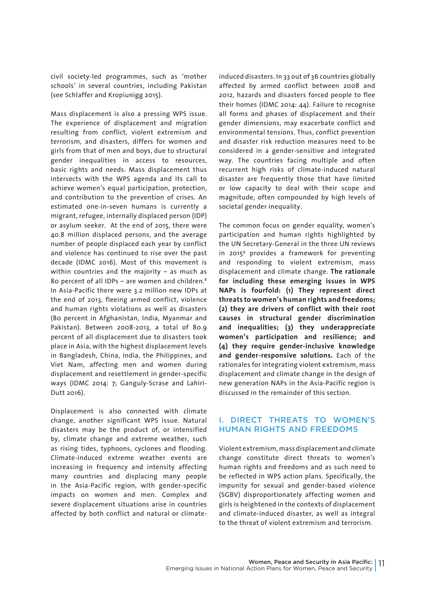civil society-led programmes, such as 'mother schools' in several countries, including Pakistan (see Schlaffer and Kropiunigg 2015).

Mass displacement is also a pressing WPS issue. The experience of displacement and migration resulting from conflict, violent extremism and terrorism, and disasters, differs for women and girls from that of men and boys, due to structural gender inequalities in access to resources, basic rights and needs. Mass displacement thus intersects with the WPS agenda and its call to achieve women's equal participation, protection, and contribution to the prevention of crises. An estimated one-in-seven humans is currently a migrant, refugee, internally displaced person (IDP) or asylum seeker. At the end of 2015, there were 40.8 million displaced persons, and the average number of people displaced each year by conflict and violence has continued to rise over the past decade (IDMC 2016). Most of this movement is within countries and the majority – as much as 80 percent of all IDPs - are women and children.<sup>8</sup> In Asia-Pacific there were 3.2 million new IDPs at the end of 2013, fleeing armed conflict, violence and human rights violations as well as disasters (80 percent in Afghanistan, India, Myanmar and Pakistan). Between 2008-2013, a total of 80.9 percent of all displacement due to disasters took place in Asia, with the highest displacement levels in Bangladesh, China, India, the Philippines, and Viet Nam, affecting men and women during displacement and resettlement in gender-specific ways (IDMC 2014: 7; Ganguly-Scrase and Lahiri-Dutt 2016).

Displacement is also connected with climate change, another significant WPS issue. Natural disasters may be the product of, or intensified by, climate change and extreme weather, such as rising tides, typhoons, cyclones and flooding. Climate-induced extreme weather events are increasing in frequency and intensity affecting many countries and displacing many people in the Asia-Pacific region, with gender-specific impacts on women and men. Complex and severe displacement situations arise in countries affected by both conflict and natural or climateinduced disasters. In 33 out of 36 countries globally affected by armed conflict between 2008 and 2012, hazards and disasters forced people to flee their homes (IDMC 2014: 44). Failure to recognise all forms and phases of displacement and their gender dimensions, may exacerbate conflict and environmental tensions. Thus, conflict prevention and disaster risk reduction measures need to be considered in a gender-sensitive and integrated way. The countries facing multiple and often recurrent high risks of climate-induced natural disaster are frequently those that have limited or low capacity to deal with their scope and magnitude, often compounded by high levels of societal gender inequality.

The common focus on gender equality, women's participation and human rights highlighted by the UN Secretary-General in the three UN reviews in 20159 provides a framework for preventing and responding to violent extremism, mass displacement and climate change. **The rationale for including these emerging issues in WPS NAPs is fourfold: (1) They represent direct threats to women's human rights and freedoms; (2) they are drivers of conflict with their root causes in structural gender discrimination and inequalities; (3) they underappreciate women's participation and resilience; and (4) they require gender-inclusive knowledge and gender-responsive solutions.** Each of the rationales for integrating violent extremism, mass displacement and climate change in the design of new generation NAPs in the Asia-Pacific region is discussed in the remainder of this section.

#### I. DIRECT THREATS TO WOMEN'S HUMAN RIGHTS AND FREEDOMS

Violent extremism, mass displacement and climate change constitute direct threats to women's human rights and freedoms and as such need to be reflected in WPS action plans. Specifically, the impunity for sexual and gender-based violence (SGBV) disproportionately affecting women and girls is heightened in the contexts of displacement and climate-induced disaster, as well as integral to the threat of violent extremism and terrorism.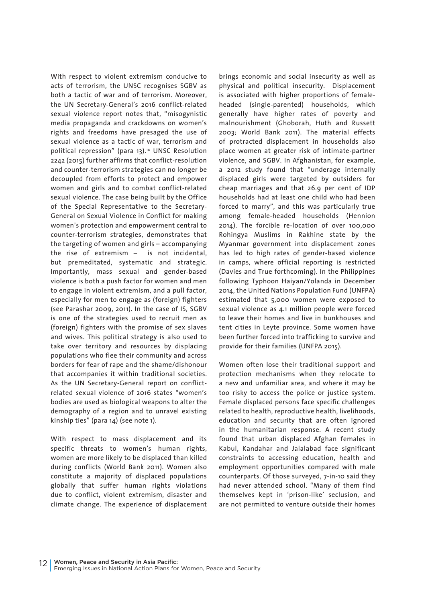With respect to violent extremism conducive to acts of terrorism, the UNSC recognises SGBV as both a tactic of war and of terrorism. Moreover, the UN Secretary-General's 2016 conflict-related sexual violence report notes that, "misogynistic media propaganda and crackdowns on women's rights and freedoms have presaged the use of sexual violence as a tactic of war, terrorism and political repression" (para 13).<sup>10</sup> UNSC Resolution 2242 (2015) further affirms that conflict-resolution and counter-terrorism strategies can no longer be decoupled from efforts to protect and empower women and girls and to combat conflict-related sexual violence. The case being built by the Office of the Special Representative to the Secretary-General on Sexual Violence in Conflict for making women's protection and empowerment central to counter-terrorism strategies, demonstrates that the targeting of women and girls – accompanying the rise of extremism – is not incidental, but premeditated, systematic and strategic. Importantly, mass sexual and gender-based violence is both a push factor for women and men to engage in violent extremism, and a pull factor, especially for men to engage as (foreign) fighters (see Parashar 2009, 2011). In the case of IS, SGBV is one of the strategies used to recruit men as (foreign) fighters with the promise of sex slaves and wives. This political strategy is also used to take over territory and resources by displacing populations who flee their community and across borders for fear of rape and the shame/dishonour that accompanies it within traditional societies. As the UN Secretary-General report on conflictrelated sexual violence of 2016 states "women's bodies are used as biological weapons to alter the demography of a region and to unravel existing kinship ties" (para 14) (see note 1).

With respect to mass displacement and its specific threats to women's human rights, women are more likely to be displaced than killed during conflicts (World Bank 2011). Women also constitute a majority of displaced populations globally that suffer human rights violations due to conflict, violent extremism, disaster and climate change. The experience of displacement

brings economic and social insecurity as well as physical and political insecurity. Displacement is associated with higher proportions of femaleheaded (single-parented) households, which generally have higher rates of poverty and malnourishment (Ghoborah, Huth and Russett 2003; World Bank 2011). The material effects of protracted displacement in households also place women at greater risk of intimate-partner violence, and SGBV. In Afghanistan, for example, a 2012 study found that "underage internally displaced girls were targeted by outsiders for cheap marriages and that 26.9 per cent of IDP households had at least one child who had been forced to marry", and this was particularly true among female-headed households (Hennion 2014). The forcible re-location of over 100,000 Rohingya Muslims in Rakhine state by the Myanmar government into displacement zones has led to high rates of gender-based violence in camps, where official reporting is restricted (Davies and True forthcoming). In the Philippines following Typhoon Haiyan/Yolanda in December 2014, the United Nations Population Fund (UNFPA) estimated that 5,000 women were exposed to sexual violence as 4.1 million people were forced to leave their homes and live in bunkhouses and tent cities in Leyte province. Some women have been further forced into trafficking to survive and provide for their families (UNFPA 2015).

Women often lose their traditional support and protection mechanisms when they relocate to a new and unfamiliar area, and where it may be too risky to access the police or justice system. Female displaced persons face specific challenges related to health, reproductive health, livelihoods, education and security that are often ignored in the humanitarian response. A recent study found that urban displaced Afghan females in Kabul, Kandahar and Jalalabad face significant constraints to accessing education, health and employment opportunities compared with male counterparts. Of those surveyed, 7-in-10 said they had never attended school. "Many of them find themselves kept in 'prison-like' seclusion, and are not permitted to venture outside their homes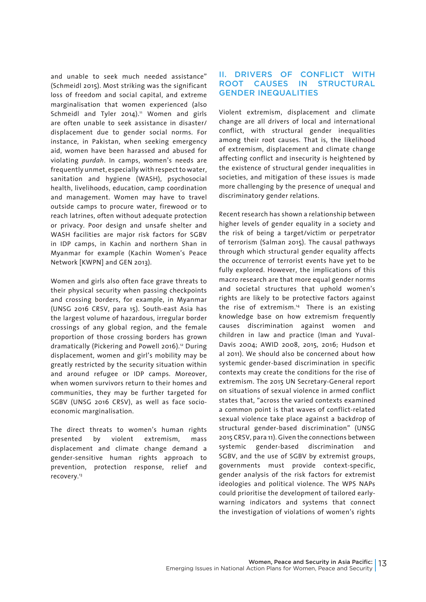and unable to seek much needed assistance" (Schmeidl 2015). Most striking was the significant loss of freedom and social capital, and extreme marginalisation that women experienced (also Schmeidl and Tyler 2014). $11$  Women and girls are often unable to seek assistance in disaster/ displacement due to gender social norms. For instance, in Pakistan, when seeking emergency aid, women have been harassed and abused for violating *purdah*. In camps, women's needs are frequently unmet, especially with respect to water, sanitation and hygiene (WASH), psychosocial health, livelihoods, education, camp coordination and management. Women may have to travel outside camps to procure water, firewood or to reach latrines, often without adequate protection or privacy. Poor design and unsafe shelter and WASH facilities are major risk factors for SGBV in IDP camps, in Kachin and northern Shan in Myanmar for example (Kachin Women's Peace Network [KWPN] and GEN 2013).

Women and girls also often face grave threats to their physical security when passing checkpoints and crossing borders, for example, in Myanmar (UNSG 2016 CRSV, para 15). South-east Asia has the largest volume of hazardous, irregular border crossings of any global region, and the female proportion of those crossing borders has grown dramatically (Pickering and Powell 2016).<sup>12</sup> During displacement, women and girl's mobility may be greatly restricted by the security situation within and around refugee or IDP camps. Moreover, when women survivors return to their homes and communities, they may be further targeted for SGBV (UNSG 2016 CRSV), as well as face socioeconomic marginalisation.

The direct threats to women's human rights presented by violent extremism, mass displacement and climate change demand a gender-sensitive human rights approach to prevention, protection response, relief and recovery.13

#### **II. DRIVERS OF CONFLICT WITH<br>ROOT CAUSES IN STRUCTURAL** ROOT CAUSES IN STRUCTURAL GENDER INEQUALITIES

Violent extremism, displacement and climate change are all drivers of local and international conflict, with structural gender inequalities among their root causes. That is, the likelihood of extremism, displacement and climate change affecting conflict and insecurity is heightened by the existence of structural gender inequalities in societies, and mitigation of these issues is made more challenging by the presence of unequal and discriminatory gender relations.

Recent research has shown a relationship between higher levels of gender equality in a society and the risk of being a target/victim or perpetrator of terrorism (Salman 2015). The causal pathways through which structural gender equality affects the occurrence of terrorist events have yet to be fully explored. However, the implications of this macro research are that more equal gender norms and societal structures that uphold women's rights are likely to be protective factors against the rise of extremism.<sup>14</sup> There is an existing knowledge base on how extremism frequently causes discrimination against women and children in law and practice (Iman and Yuval-Davis 2004; AWID 2008, 2015, 2016; Hudson et al 2011). We should also be concerned about how systemic gender-based discrimination in specific contexts may create the conditions for the rise of extremism. The 2015 UN Secretary-General report on situations of sexual violence in armed conflict states that, "across the varied contexts examined a common point is that waves of conflict-related sexual violence take place against a backdrop of structural gender-based discrimination" (UNSG 2015 CRSV, para 11). Given the connections between systemic gender-based discrimination and SGBV, and the use of SGBV by extremist groups, governments must provide context-specific, gender analysis of the risk factors for extremist ideologies and political violence. The WPS NAPs could prioritise the development of tailored earlywarning indicators and systems that connect the investigation of violations of women's rights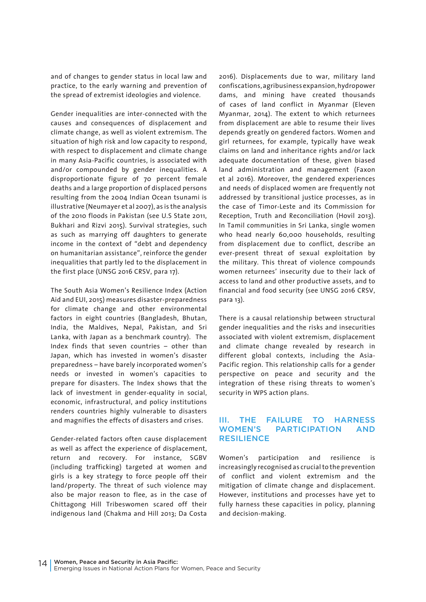and of changes to gender status in local law and practice, to the early warning and prevention of the spread of extremist ideologies and violence.

Gender inequalities are inter-connected with the causes and consequences of displacement and climate change, as well as violent extremism. The situation of high risk and low capacity to respond, with respect to displacement and climate change in many Asia-Pacific countries, is associated with and/or compounded by gender inequalities. A disproportionate figure of 70 percent female deaths and a large proportion of displaced persons resulting from the 2004 Indian Ocean tsunami is illustrative (Neumayer et al 2007), as is the analysis of the 2010 floods in Pakistan (see U.S State 2011, Bukhari and Rizvi 2015). Survival strategies, such as such as marrying off daughters to generate income in the context of "debt and dependency on humanitarian assistance", reinforce the gender inequalities that partly led to the displacement in the first place (UNSG 2016 CRSV, para 17).

The South Asia Women's Resilience Index (Action Aid and EUI, 2015) measures disaster-preparedness for climate change and other environmental factors in eight countries (Bangladesh, Bhutan, India, the Maldives, Nepal, Pakistan, and Sri Lanka, with Japan as a benchmark country). The Index finds that seven countries – other than Japan, which has invested in women's disaster preparedness – have barely incorporated women's needs or invested in women's capacities to prepare for disasters. The Index shows that the lack of investment in gender-equality in social, economic, infrastructural, and policy institutions renders countries highly vulnerable to disasters and magnifies the effects of disasters and crises.

Gender-related factors often cause displacement as well as affect the experience of displacement, return and recovery. For instance, SGBV (including trafficking) targeted at women and girls is a key strategy to force people off their land/property. The threat of such violence may also be major reason to flee, as in the case of Chittagong Hill Tribeswomen scared off their indigenous land (Chakma and Hill 2013; Da Costa

2016). Displacements due to war, military land confiscations, agribusiness expansion, hydropower dams, and mining have created thousands of cases of land conflict in Myanmar (Eleven Myanmar, 2014). The extent to which returnees from displacement are able to resume their lives depends greatly on gendered factors. Women and girl returnees, for example, typically have weak claims on land and inheritance rights and/or lack adequate documentation of these, given biased land administration and management (Faxon et al 2016). Moreover, the gendered experiences and needs of displaced women are frequently not addressed by transitional justice processes, as in the case of Timor-Leste and its Commission for Reception, Truth and Reconciliation (Hovil 2013). In Tamil communities in Sri Lanka, single women who head nearly 60,000 households, resulting from displacement due to conflict, describe an ever-present threat of sexual exploitation by the military. This threat of violence compounds women returnees' insecurity due to their lack of access to land and other productive assets, and to financial and food security (see UNSG 2016 CRSV, para 13).

There is a causal relationship between structural gender inequalities and the risks and insecurities associated with violent extremism, displacement and climate change revealed by research in different global contexts, including the Asia-Pacific region. This relationship calls for a gender perspective on peace and security and the integration of these rising threats to women's security in WPS action plans.

#### III. THE FAILURE TO HARNESS WOMEN'S PARTICIPATION AND **RESILIENCE**

Women's participation and resilience is increasingly recognised as crucial to the prevention of conflict and violent extremism and the mitigation of climate change and displacement. However, institutions and processes have yet to fully harness these capacities in policy, planning and decision-making.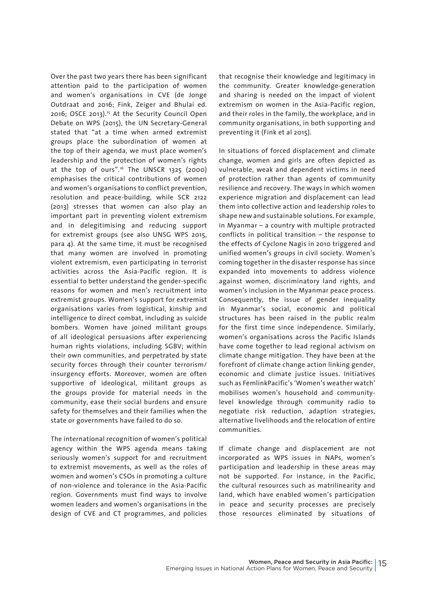Over the past two years there has been significant attention paid to the participation of women and women's organisations in CVE (de Jonge Outdraat and 2016; Fink, Zeiger and Bhulai ed. 2016; OSCE 2013).15 At the Security Council Open Debate on WPS (2015), the UN Secretary-General stated that "at a time when armed extremist groups place the subordination of women at the top of their agenda, we must place women's leadership and the protection of women's rights at the top of ours".16 The UNSCR 1325 (2000) emphasises the critical contributions of women and women's organisations to conflict prevention, resolution and peace-building, while SCR 2122 (2013) stresses that women can also play an important part in preventing violent extremism and in delegitimising and reducing support for extremist groups (see also UNSG WPS 2015, para 4). At the same time, it must be recognised that many women are involved in promoting violent extremism, even participating in terrorist activities across the Asia-Pacific region. It is essential to better understand the gender-specific reasons for women and men's recruitment into extremist groups. Women's support for extremist organisations varies from logistical, kinship and intelligence to direct combat, including as suicide bombers. Women have joined militant groups of all ideological persuasions after experiencing human rights violations, including SGBV; within their own communities, and perpetrated by state security forces through their counter terrorism/ insurgency efforts. Moreover, women are often supportive of ideological, militant groups as the groups provide for material needs in the community, ease their social burdens and ensure safety for themselves and their families when the state or governments have failed to do so.

The international recognition of women's political agency within the WPS agenda means taking seriously women's support for and recruitment to extremist movements, as well as the roles of women and women's CSOs in promoting a culture of non-violence and tolerance in the Asia-Pacific region. Governments must find ways to involve women leaders and women's organisations in the design of CVE and CT programmes, and policies

that recognise their knowledge and legitimacy in the community. Greater knowledge-generation and sharing is needed on the impact of violent extremism on women in the Asia-Pacific region, and their roles in the family, the workplace, and in community organisations, in both supporting and preventing it (Fink et al 2015).

In situations of forced displacement and climate change, women and girls are often depicted as vulnerable, weak and dependent victims in need of protection rather than agents of community resilience and recovery. The ways in which women experience migration and displacement can lead them into collective action and leadership roles to shape new and sustainable solutions. For example, in Myanmar – a country with multiple protracted conflicts in political transition – the response to the effects of Cyclone Nagis in 2010 triggered and unified women's groups in civil society. Women's coming together in the disaster response has since expanded into movements to address violence against women, discriminatory land rights, and women's inclusion in the Myanmar peace process. Consequently, the issue of gender inequality in Myanmar's social, economic and political structures has been raised in the public realm for the first time since independence. Similarly, women's organisations across the Pacific Islands have come together to lead regional activism on climate change mitigation. They have been at the forefront of climate change action linking gender, economic and climate justice issues. Initiatives such as FemlinkPacific's 'Women's weather watch' mobilises women's household and communitylevel knowledge through community radio to negotiate risk reduction, adaption strategies, alternative livelihoods and the relocation of entire communities.

If climate change and displacement are not incorporated as WPS issues in NAPs, women's participation and leadership in these areas may not be supported. For instance, in the Pacific, the cultural resources such as matrilinearity and land, which have enabled women's participation in peace and security processes are precisely those resources eliminated by situations of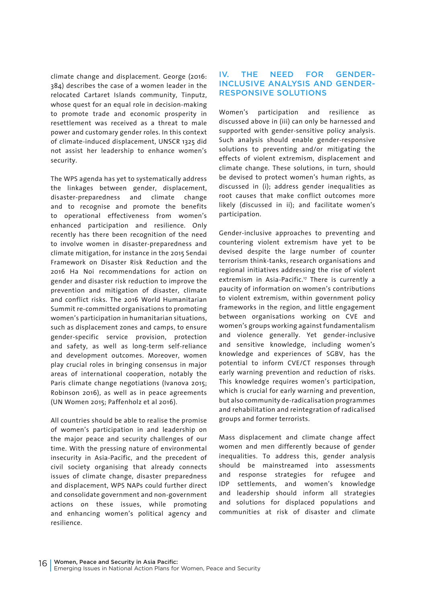climate change and displacement. George (2016: 384) describes the case of a women leader in the relocated Cartaret Islands community, Tinputz, whose quest for an equal role in decision-making to promote trade and economic prosperity in resettlement was received as a threat to male power and customary gender roles. In this context of climate-induced displacement, UNSCR 1325 did not assist her leadership to enhance women's security.

The WPS agenda has yet to systematically address the linkages between gender, displacement, disaster-preparedness and climate change and to recognise and promote the benefits to operational effectiveness from women's enhanced participation and resilience. Only recently has there been recognition of the need to involve women in disaster-preparedness and climate mitigation, for instance in the 2015 Sendai Framework on Disaster Risk Reduction and the 2016 Ha Noi recommendations for action on gender and disaster risk reduction to improve the prevention and mitigation of disaster, climate and conflict risks. The 2016 World Humanitarian Summit re-committed organisations to promoting women's participation in humanitarian situations, such as displacement zones and camps, to ensure gender-specific service provision, protection and safety, as well as long-term self-reliance and development outcomes. Moreover, women play crucial roles in bringing consensus in major areas of international cooperation, notably the Paris climate change negotiations (Ivanova 2015; Robinson 2016), as well as in peace agreements (UN Women 2015; Paffenholz et al 2016).

All countries should be able to realise the promise of women's participation in and leadership on the major peace and security challenges of our time. With the pressing nature of environmental insecurity in Asia-Pacific, and the precedent of civil society organising that already connects issues of climate change, disaster preparedness and displacement, WPS NAPs could further direct and consolidate government and non-government actions on these issues, while promoting and enhancing women's political agency and resilience.

#### IV. THE NEED FOR GENDER-INCLUSIVE ANALYSIS AND GENDER-RESPONSIVE SOLUTIONS

Women's participation and resilience as discussed above in (iii) can only be harnessed and supported with gender-sensitive policy analysis. Such analysis should enable gender-responsive solutions to preventing and/or mitigating the effects of violent extremism, displacement and climate change. These solutions, in turn, should be devised to protect women's human rights, as discussed in (i); address gender inequalities as root causes that make conflict outcomes more likely (discussed in ii); and facilitate women's participation.

Gender-inclusive approaches to preventing and countering violent extremism have yet to be devised despite the large number of counter terrorism think-tanks, research organisations and regional initiatives addressing the rise of violent extremism in Asia-Pacific.<sup>17</sup> There is currently a paucity of information on women's contributions to violent extremism, within government policy frameworks in the region, and little engagement between organisations working on CVE and women's groups working against fundamentalism and violence generally. Yet gender-inclusive and sensitive knowledge, including women's knowledge and experiences of SGBV, has the potential to inform CVE/CT responses through early warning prevention and reduction of risks. This knowledge requires women's participation, which is crucial for early warning and prevention, but also community de-radicalisation programmes and rehabilitation and reintegration of radicalised groups and former terrorists.

Mass displacement and climate change affect women and men differently because of gender inequalities. To address this, gender analysis should be mainstreamed into assessments and response strategies for refugee and IDP settlements, and women's knowledge and leadership should inform all strategies and solutions for displaced populations and communities at risk of disaster and climate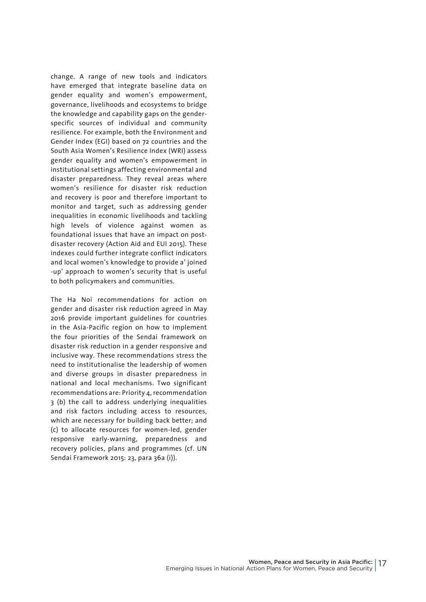change. A range of new tools and indicators have emerged that integrate baseline data on gender equality and women's empowerment, governance, livelihoods and ecosystems to bridge the knowledge and capability gaps on the genderspecific sources of individual and community resilience. For example, both the Environment and Gender Index (EGI) based on 72 countries and the South Asia Women's Resilience Index (WRI) assess gender equality and women's empowerment in institutional settings affecting environmental and disaster preparedness. They reveal areas where women's resilience for disaster risk reduction and recovery is poor and therefore important to monitor and target, such as addressing gender inequalities in economic livelihoods and tackling high levels of violence against women as foundational issues that have an impact on postdisaster recovery (Action Aid and EUI 2015). These indexes could further integrate conflict indicators and local women's knowledge to provide a' joined -up' approach to women's security that is useful to both policymakers and communities.

The Ha Noi recommendations for action on gender and disaster risk reduction agreed in May 2016 provide important guidelines for countries in the Asia-Pacific region on how to implement the four priorities of the Sendai framework on disaster risk reduction in a gender responsive and inclusive way. These recommendations stress the need to institutionalise the leadership of women and diverse groups in disaster preparedness in national and local mechanisms. Two significant recommendations are: Priority 4, recommendation 3 (b) the call to address underlying inequalities and risk factors including access to resources, which are necessary for building back better; and (c) to allocate resources for women-led, gender responsive early-warning, preparedness and recovery policies, plans and programmes (cf. UN Sendai Framework 2015: 23, para 36a (i)).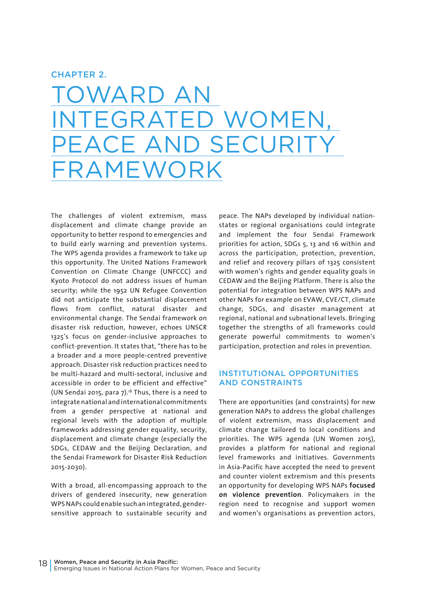#### CHAPTER 2.

TOWARD AN ED WOMEN ECUR FRAMEWORK

The challenges of violent extremism, mass displacement and climate change provide an opportunity to better respond to emergencies and to build early warning and prevention systems. The WPS agenda provides a framework to take up this opportunity. The United Nations Framework Convention on Climate Change (UNFCCC) and Kyoto Protocol do not address issues of human security; while the 1952 UN Refugee Convention did not anticipate the substantial displacement flows from conflict, natural disaster and environmental change. The Sendai framework on disaster risk reduction, however, echoes UNSCR 1325's focus on gender-inclusive approaches to conflict-prevention. It states that, "there has to be a broader and a more people-centred preventive approach. Disaster risk reduction practices need to be multi-hazard and multi-sectoral, inclusive and accessible in order to be efficient and effective" (UN Sendai 2015, para 7).18 Thus, there is a need to integrate national and international commitments from a gender perspective at national and regional levels with the adoption of multiple frameworks addressing gender equality, security, displacement and climate change (especially the SDGs, CEDAW and the Beijing Declaration, and the Sendai Framework for Disaster Risk Reduction 2015-2030).

With a broad, all-encompassing approach to the drivers of gendered insecurity, new generation WPS NAPs could enable such an integrated, gendersensitive approach to sustainable security and

peace. The NAPs developed by individual nationstates or regional organisations could integrate and implement the four Sendai Framework priorities for action, SDGs 5, 13 and 16 within and across the participation, protection, prevention, and relief and recovery pillars of 1325 consistent with women's rights and gender equality goals in CEDAW and the Beijing Platform. There is also the potential for integration between WPS NAPs and other NAPs for example on EVAW, CVE/CT, climate change, SDGs, and disaster management at regional, national and subnational levels. Bringing together the strengths of all frameworks could generate powerful commitments to women's participation, protection and roles in prevention.

#### INSTITUTIONAL OPPORTUNITIES AND CONSTRAINTS

There are opportunities (and constraints) for new generation NAPs to address the global challenges of violent extremism, mass displacement and climate change tailored to local conditions and priorities. The WPS agenda (UN Women 2015), provides a platform for national and regional level frameworks and initiatives. Governments in Asia-Pacific have accepted the need to prevent and counter violent extremism and this presents an opportunity for developing WPS NAPs **focused on violence prevention**. Policymakers in the region need to recognise and support women and women's organisations as prevention actors,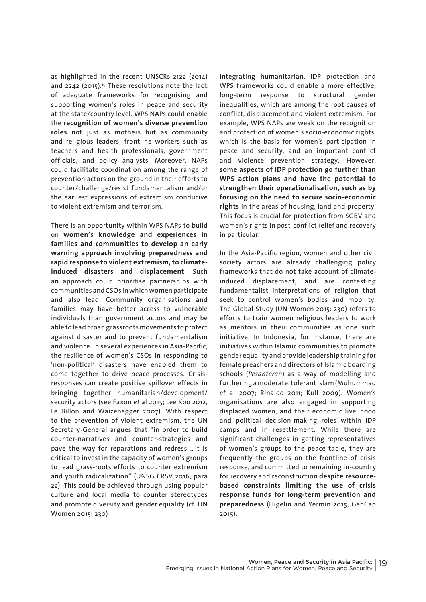as highlighted in the recent UNSCRs 2122 (2014) and 2242 (2015).19 These resolutions note the lack of adequate frameworks for recognising and supporting women's roles in peace and security at the state/country level. WPS NAPs could enable the **recognition of women's diverse prevention roles** not just as mothers but as community and religious leaders, frontline workers such as teachers and health professionals, government officials, and policy analysts. Moreover, NAPs could facilitate coordination among the range of prevention actors on the ground in their efforts to counter/challenge/resist fundamentalism and/or the earliest expressions of extremism conducive to violent extremism and terrorism.

There is an opportunity within WPS NAPs to build on **women's knowledge and experiences in families and communities to develop an early warning approach involving preparedness and rapid response to violent extremism, to climateinduced disasters and displacement**. Such an approach could prioritise partnerships with communities and CSOs in which women participate and also lead. Community organisations and families may have better access to vulnerable individuals than government actors and may be able to lead broad grassroots movements to protect against disaster and to prevent fundamentalism and violence. In several experiences in Asia-Pacific, the resilience of women's CSOs in responding to 'non-political' disasters have enabled them to come together to drive peace processes. Crisisresponses can create positive spillover effects in bringing together humanitarian/development/ security actors (see Faxon *et* al 2015; Lee Koo 2012, Le Billon and Waizenegger 2007). With respect to the prevention of violent extremism, the UN Secretary-General argues that "in order to build counter-narratives and counter-strategies and pave the way for reparations and redress …it is critical to invest in the capacity of women's groups to lead grass-roots efforts to counter extremism and youth radicalization" (UNSG CRSV 2016, para 22). This could be achieved through using popular culture and local media to counter stereotypes and promote diversity and gender equality (cf. UN Women 2015: 230)

Integrating humanitarian, IDP protection and WPS frameworks could enable a more effective, long-term response to structural gender inequalities, which are among the root causes of conflict, displacement and violent extremism. For example, WPS NAPs are weak on the recognition and protection of women's socio-economic rights, which is the basis for women's participation in peace and security, and an important conflict and violence prevention strategy. However, **some aspects of IDP protection go further than WPS action plans and have the potential to strengthen their operationalisation, such as by focusing on the need to secure socio-economic rights** in the areas of housing, land and property. This focus is crucial for protection from SGBV and women's rights in post-conflict relief and recovery in particular.

In the Asia-Pacific region, women and other civil society actors are already challenging policy frameworks that do not take account of climateinduced displacement, and are contesting fundamentalist interpretations of religion that seek to control women's bodies and mobility. The Global Study (UN Women 2015: 230) refers to efforts to train women religious leaders to work as mentors in their communities as one such initiative. In Indonesia, for instance, there are initiatives within Islamic communities to promote gender equality and provide leadership training for female preachers and directors of Islamic boarding schools (*Pesanteran*) as a way of modelling and furthering a moderate, tolerant Islam (Muhummad *et* al 2007; Rinaldo 2011; Kull 2009). Women's organisations are also engaged in supporting displaced women, and their economic livelihood and political decision-making roles within IDP camps and in resettlement. While there are significant challenges in getting representatives of women's groups to the peace table, they are frequently the groups on the frontline of crisis response, and committed to remaining in-country for recovery and reconstruction **despite resourcebased constraints limiting the use of crisis response funds for long-term prevention and preparedness** (Higelin and Yermin 2015; GenCap 2015).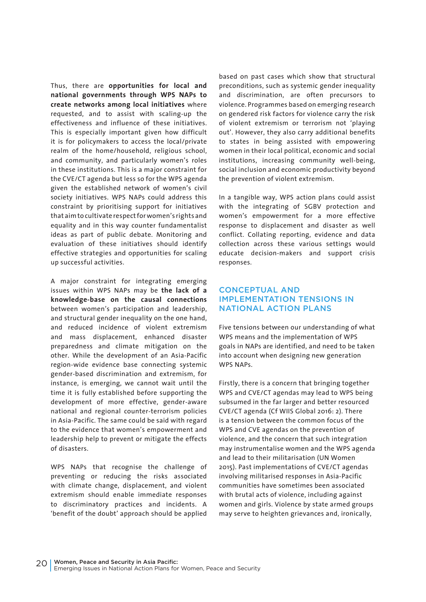Thus, there are **opportunities for local and national governments through WPS NAPs to create networks among local initiatives** where requested, and to assist with scaling-up the effectiveness and influence of these initiatives. This is especially important given how difficult it is for policymakers to access the local/private realm of the home/household, religious school, and community, and particularly women's roles in these institutions. This is a major constraint for the CVE/CT agenda but less so for the WPS agenda given the established network of women's civil society initiatives. WPS NAPs could address this constraint by prioritising support for initiatives that aim to cultivate respect for women's rights and equality and in this way counter fundamentalist ideas as part of public debate. Monitoring and evaluation of these initiatives should identify effective strategies and opportunities for scaling up successful activities.

A major constraint for integrating emerging issues within WPS NAPs may be **the lack of a knowledge-base on the causal connections** between women's participation and leadership, and structural gender inequality on the one hand, and reduced incidence of violent extremism and mass displacement, enhanced disaster preparedness and climate mitigation on the other. While the development of an Asia-Pacific region-wide evidence base connecting systemic gender-based discrimination and extremism, for instance, is emerging, we cannot wait until the time it is fully established before supporting the development of more effective, gender-aware national and regional counter-terrorism policies in Asia-Pacific. The same could be said with regard to the evidence that women's empowerment and leadership help to prevent or mitigate the effects of disasters.

WPS NAPs that recognise the challenge of preventing or reducing the risks associated with climate change, displacement, and violent extremism should enable immediate responses to discriminatory practices and incidents. A 'benefit of the doubt' approach should be applied

based on past cases which show that structural preconditions, such as systemic gender inequality and discrimination, are often precursors to violence. Programmes based on emerging research on gendered risk factors for violence carry the risk of violent extremism or terrorism not 'playing out'. However, they also carry additional benefits to states in being assisted with empowering women in their local political, economic and social institutions, increasing community well-being, social inclusion and economic productivity beyond the prevention of violent extremism.

In a tangible way, WPS action plans could assist with the integrating of SGBV protection and women's empowerment for a more effective response to displacement and disaster as well conflict. Collating reporting, evidence and data collection across these various settings would educate decision-makers and support crisis responses.

#### CONCEPTUAL AND IMPLEMENTATION TENSIONS IN NATIONAL ACTION PLANS

Five tensions between our understanding of what WPS means and the implementation of WPS goals in NAPs are identified, and need to be taken into account when designing new generation WPS NAPs.

Firstly, there is a concern that bringing together WPS and CVE/CT agendas may lead to WPS being subsumed in the far larger and better resourced CVE/CT agenda (Cf WIIS Global 2016: 2). There is a tension between the common focus of the WPS and CVE agendas on the prevention of violence, and the concern that such integration may instrumentalise women and the WPS agenda and lead to their militarisation (UN Women 2015). Past implementations of CVE/CT agendas involving militarised responses in Asia-Pacific communities have sometimes been associated with brutal acts of violence, including against women and girls. Violence by state armed groups may serve to heighten grievances and, ironically,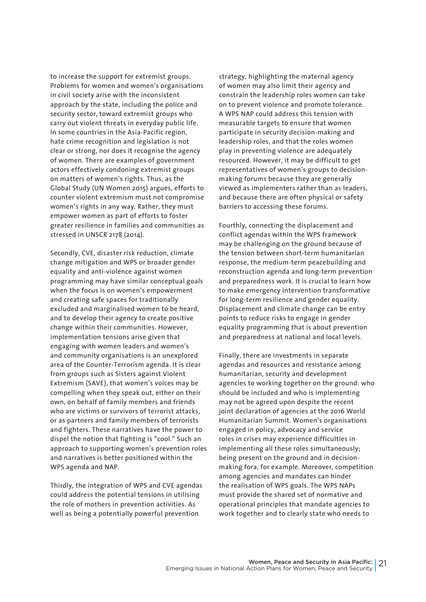to increase the support for extremist groups. Problems for women and women's organisations in civil society arise with the inconsistent approach by the state, including the police and security sector, toward extremist groups who carry out violent threats in everyday public life. In some countries in the Asia-Pacific region, hate crime recognition and legislation is not clear or strong, nor does it recognise the agency of women. There are examples of government actors effectively condoning extremist groups on matters of women's rights. Thus, as the Global Study (UN Women 2015) argues, efforts to counter violent extremism must not compromise women's rights in any way. Rather, they must empower women as part of efforts to foster greater resilience in families and communities as stressed in UNSCR 2178 (2014).

Secondly, CVE, disaster risk reduction, climate change mitigation and WPS or broader gender equality and anti-violence against women programming may have similar conceptual goals when the focus is on women's empowerment and creating safe spaces for traditionally excluded and marginalised women to be heard, and to develop their agency to create positive change within their communities. However, implementation tensions arise given that engaging with women leaders and women's and community organisations is an unexplored area of the Counter-Terrorism agenda. It is clear from groups such as Sisters against Violent Extremism (SAVE), that women's voices may be compelling when they speak out, either on their own, on behalf of family members and friends who are victims or survivors of terrorist attacks, or as partners and family members of terrorists and fighters. These narratives have the power to dispel the notion that fighting is "cool." Such an approach to supporting women's prevention roles and narratives is better positioned within the WPS agenda and NAP.

Thirdly, the integration of WPS and CVE agendas could address the potential tensions in utilising the role of mothers in prevention activities. As well as being a potentially powerful prevention

strategy, highlighting the maternal agency of women may also limit their agency and constrain the leadership roles women can take on to prevent violence and promote tolerance. A WPS NAP could address this tension with measurable targets to ensure that women participate in security decision-making and leadership roles, and that the roles women play in preventing violence are adequately resourced. However, it may be difficult to get representatives of women's groups to decisionmaking forums because they are generally viewed as implementers rather than as leaders, and because there are often physical or safety barriers to accessing these forums.

Fourthly, connecting the displacement and conflict agendas within the WPS framework may be challenging on the ground because of the tension between short-term humanitarian response, the medium-term peacebuilding and reconstruction agenda and long-term prevention and preparedness work. It is crucial to learn how to make emergency intervention transformative for long-term resilience and gender equality. Displacement and climate change can be entry points to reduce risks to engage in gender equality programming that is about prevention and preparedness at national and local levels.

Finally, there are investments in separate agendas and resources and resistance among humanitarian, security and development agencies to working together on the ground: who should be included and who is implementing may not be agreed upon despite the recent joint declaration of agencies at the 2016 World Humanitarian Summit. Women's organisations engaged in policy, advocacy and service roles in crises may experience difficulties in implementing all these roles simultaneously; being present on the ground and in decisionmaking fora, for example. Moreover, competition among agencies and mandates can hinder the realisation of WPS goals. The WPS NAPs must provide the shared set of normative and operational principles that mandate agencies to work together and to clearly state who needs to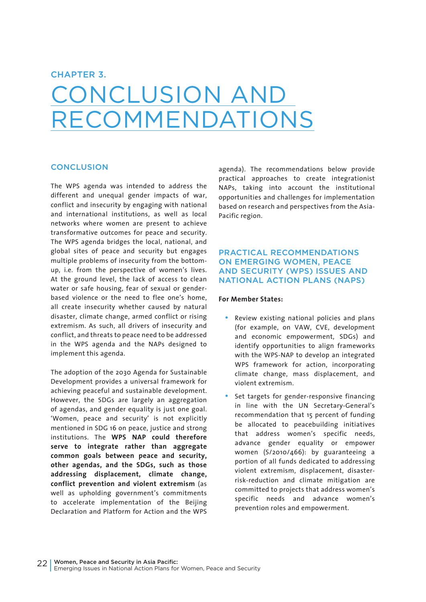#### CHAPTER 3.

### CONCLUSION AND RECOMMENDATIONS

#### **CONCLUSION**

The WPS agenda was intended to address the different and unequal gender impacts of war, conflict and insecurity by engaging with national and international institutions, as well as local networks where women are present to achieve transformative outcomes for peace and security. The WPS agenda bridges the local, national, and global sites of peace and security but engages multiple problems of insecurity from the bottomup, i.e. from the perspective of women's lives. At the ground level, the lack of access to clean water or safe housing, fear of sexual or genderbased violence or the need to flee one's home, all create insecurity whether caused by natural disaster, climate change, armed conflict or rising extremism. As such, all drivers of insecurity and conflict, and threats to peace need to be addressed in the WPS agenda and the NAPs designed to implement this agenda.

The adoption of the 2030 Agenda for Sustainable Development provides a universal framework for achieving peaceful and sustainable development. However, the SDGs are largely an aggregation of agendas, and gender equality is just one goal. 'Women, peace and security' is not explicitly mentioned in SDG 16 on peace, justice and strong institutions. The **WPS NAP could therefore serve to integrate rather than aggregate common goals between peace and security, other agendas, and the SDGs, such as those addressing displacement, climate change, conflict prevention and violent extremism** (as well as upholding government's commitments to accelerate implementation of the Beijing Declaration and Platform for Action and the WPS

agenda). The recommendations below provide practical approaches to create integrationist NAPs, taking into account the institutional opportunities and challenges for implementation based on research and perspectives from the Asia-Pacific region.

#### PRACTICAL RECOMMENDATIONS ON EMERGING WOMEN, PEACE AND SECURITY (WPS) ISSUES AND NATIONAL ACTION PLANS (NAPS)

#### **For Member States:**

- Review existing national policies and plans (for example, on VAW, CVE, development and economic empowerment, SDGs) and identify opportunities to align frameworks with the WPS-NAP to develop an integrated WPS framework for action, incorporating climate change, mass displacement, and violent extremism.
- Set targets for gender-responsive financing in line with the UN Secretary-General's recommendation that 15 percent of funding be allocated to peacebuilding initiatives that address women's specific needs, advance gender equality or empower women (S/2010/466): by guaranteeing a portion of all funds dedicated to addressing violent extremism, displacement, disasterrisk-reduction and climate mitigation are committed to projects that address women's specific needs and advance women's prevention roles and empowerment.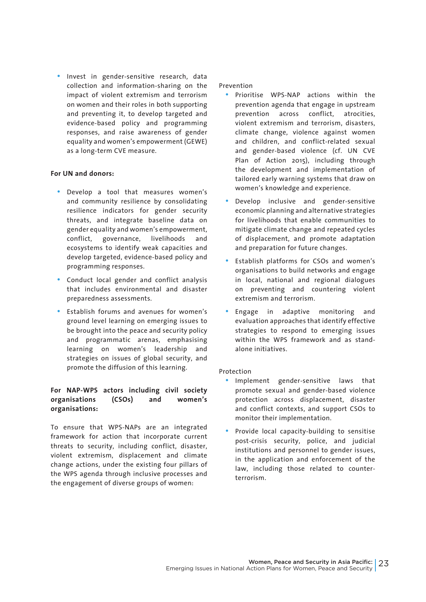• Invest in gender-sensitive research, data collection and information-sharing on the impact of violent extremism and terrorism on women and their roles in both supporting and preventing it, to develop targeted and evidence-based policy and programming responses, and raise awareness of gender equality and women's empowerment (GEWE) as a long-term CVE measure.

#### **For UN and donors:**

- Develop a tool that measures women's and community resilience by consolidating resilience indicators for gender security threats, and integrate baseline data on gender equality and women's empowerment, conflict, governance, livelihoods and ecosystems to identify weak capacities and develop targeted, evidence-based policy and programming responses.
- Conduct local gender and conflict analysis that includes environmental and disaster preparedness assessments.
- Establish forums and avenues for women's ground level learning on emerging issues to be brought into the peace and security policy and programmatic arenas, emphasising learning on women's leadership and strategies on issues of global security, and promote the diffusion of this learning.

#### **For NAP-WPS actors including civil society organisations (CSOs) and women's organisations:**

To ensure that WPS-NAPs are an integrated framework for action that incorporate current threats to security, including conflict, disaster, violent extremism, displacement and climate change actions, under the existing four pillars of the WPS agenda through inclusive processes and the engagement of diverse groups of women:

Prevention

- Prioritise WPS-NAP actions within the prevention agenda that engage in upstream prevention across conflict, atrocities, violent extremism and terrorism, disasters, climate change, violence against women and children, and conflict-related sexual and gender-based violence (cf. UN CVE Plan of Action 2015), including through the development and implementation of tailored early warning systems that draw on women's knowledge and experience.
- Develop inclusive and gender-sensitive economic planning and alternative strategies for livelihoods that enable communities to mitigate climate change and repeated cycles of displacement, and promote adaptation and preparation for future changes.
- Establish platforms for CSOs and women's organisations to build networks and engage in local, national and regional dialogues on preventing and countering violent extremism and terrorism.
- Engage in adaptive monitoring and evaluation approaches that identify effective strategies to respond to emerging issues within the WPS framework and as standalone initiatives.

#### Protection

- Implement gender-sensitive laws that promote sexual and gender-based violence protection across displacement, disaster and conflict contexts, and support CSOs to monitor their implementation.
- Provide local capacity-building to sensitise post-crisis security, police, and judicial institutions and personnel to gender issues, in the application and enforcement of the law, including those related to counterterrorism.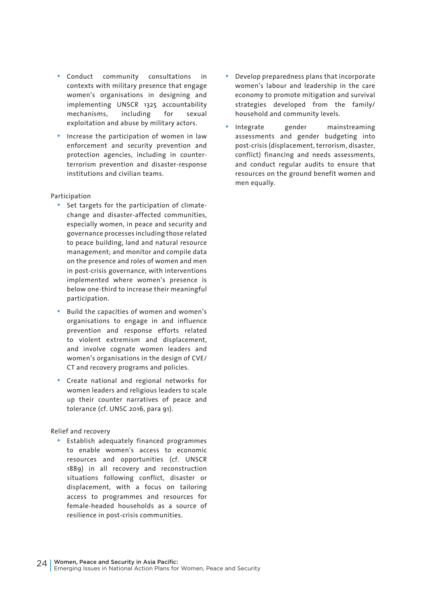- Conduct community consultations in contexts with military presence that engage women's organisations in designing and implementing UNSCR 1325 accountability mechanisms, including for sexual exploitation and abuse by military actors.
- Increase the participation of women in law enforcement and security prevention and protection agencies, including in counterterrorism prevention and disaster-response institutions and civilian teams.

#### Participation

- Set targets for the participation of climatechange and disaster-affected communities, especially women, in peace and security and governance processes including those related to peace building, land and natural resource management; and monitor and compile data on the presence and roles of women and men in post-crisis governance, with interventions implemented where women's presence is below one-third to increase their meaningful participation.
- Build the capacities of women and women's organisations to engage in and influence prevention and response efforts related to violent extremism and displacement, and involve cognate women leaders and women's organisations in the design of CVE/ CT and recovery programs and policies.
- Create national and regional networks for women leaders and religious leaders to scale up their counter narratives of peace and tolerance (cf. UNSC 2016, para 91).

#### Relief and recovery

• Establish adequately financed programmes to enable women's access to economic resources and opportunities (cf. UNSCR 1889) in all recovery and reconstruction situations following conflict, disaster or displacement, with a focus on tailoring access to programmes and resources for female-headed households as a source of resilience in post-crisis communities.

- Develop preparedness plans that incorporate women's labour and leadership in the care economy to promote mitigation and survival strategies developed from the family/ household and community levels.
- Integrate gender mainstreaming assessments and gender budgeting into post-crisis (displacement, terrorism, disaster, conflict) financing and needs assessments, and conduct regular audits to ensure that resources on the ground benefit women and men equally.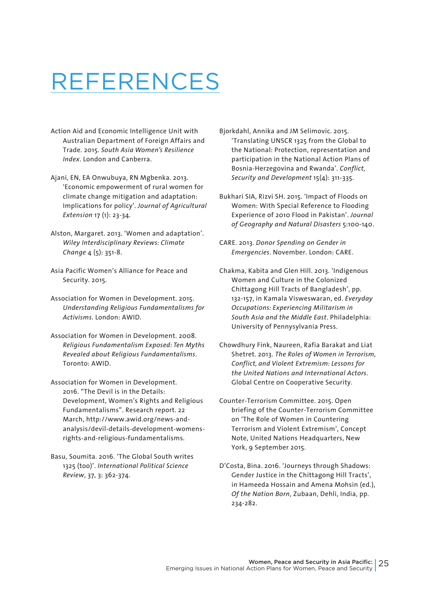### REFERENCES

- Action Aid and Economic Intelligence Unit with Australian Department of Foreign Affairs and Trade. 2015. *South Asia Women's Resilience Index*. London and Canberra.
- Ajani, EN, EA Onwubuya, RN Mgbenka. 2013. 'Economic empowerment of rural women for climate change mitigation and adaptation: Implications for policy'. *Journal of Agricultural Extension* 17 (1): 23-34.
- Alston, Margaret. 2013. 'Women and adaptation'. *Wiley Interdisciplinary Reviews: Climate Change* 4 (5): 351-8.
- Asia Pacific Women's Alliance for Peace and Security. 2015.
- Association for Women in Development. 2015. *Understanding Religious Fundamentalisms for Activisms*. London: AWID.
- Association for Women in Development. 2008. *Religious Fundamentalism Exposed: Ten Myths Revealed about Religious Fundamentalisms*. Toronto: AWID.
- Association for Women in Development. 2016. "The Devil is in the Details: Development, Women's Rights and Religious Fundamentalisms". Research report. 22 March, http://www.awid.org/news-andanalysis/devil-details-development-womensrights-and-religious-fundamentalisms.
- Basu, Soumita. 2016. 'The Global South writes 1325 (too)'. *International Political Science Review*, 37, 3: 362-374.
- Bjorkdahl, Annika and JM Selimovic. 2015. 'Translating UNSCR 1325 from the Global to the National: Protection, representation and participation in the National Action Plans of Bosnia-Herzegovina and Rwanda'. *Conflict, Security and Development* 15(4): 311-335.
- Bukhari SIA, Rizvi SH. 2015. 'Impact of Floods on Women: With Special Reference to Flooding Experience of 2010 Flood in Pakistan'. *Journal of Geography and Natural Disasters* 5:100-140.
- CARE. 2013. *Donor Spending on Gender in Emergencies*. November. London: CARE.
- Chakma, Kabita and Glen Hill. 2013. 'Indigenous Women and Culture in the Colonized Chittagong Hill Tracts of Bangladesh', pp. 132-157, in Kamala Visweswaran, ed. *Everyday Occupations: Experiencing Militarism in South Asia and the Middle East*. Philadelphia: University of Pennysylvania Press.
- Chowdhury Fink, Naureen, Rafia Barakat and Liat Shetret. 2013. *The Roles of Women in Terrorism, Conflict, and Violent Extremism: Lessons for the United Nations and International Actors*. Global Centre on Cooperative Security.
- Counter-Terrorism Committee. 2015. Open briefing of the Counter-Terrorism Committee on 'The Role of Women in Countering Terrorism and Violent Extremism', Concept Note, United Nations Headquarters, New York, 9 September 2015.
- D'Costa, Bina. 2016. 'Journeys through Shadows: Gender Justice in the Chittagong Hill Tracts', in Hameeda Hossain and Amena Mohsin (ed.), *Of the Nation Born*, Zubaan, Dehli, India, pp. 234-282.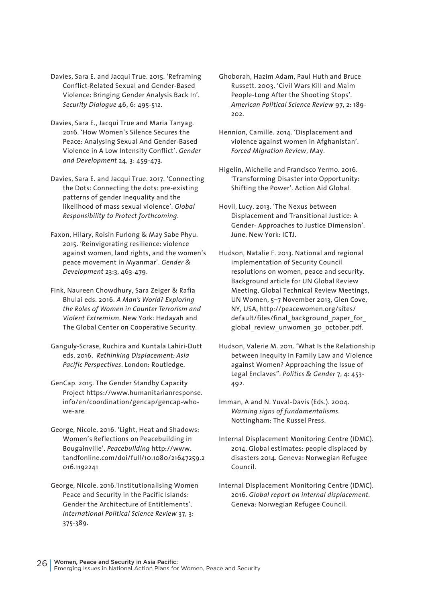- Davies, Sara E. and Jacqui True. 2015. 'Reframing Conflict-Related Sexual and Gender-Based Violence: Bringing Gender Analysis Back In'. *Security Dialogue* 46, 6: 495-512.
- Davies, Sara E., Jacqui True and Maria Tanyag. 2016. 'How Women's Silence Secures the Peace: Analysing Sexual And Gender-Based Violence in A Low Intensity Conflict'. *Gender and Development* 24, 3: 459-473.
- Davies, Sara E. and Jacqui True. 2017. 'Connecting the Dots: Connecting the dots: pre-existing patterns of gender inequality and the likelihood of mass sexual violence'. *Global Responsibility to Protect forthcoming*.
- Faxon, Hilary, Roisin Furlong & May Sabe Phyu. 2015. 'Reinvigorating resilience: violence against women, land rights, and the women's peace movement in Myanmar'. *Gender & Development* 23:3, 463-479.
- Fink, Naureen Chowdhury, Sara Zeiger & Rafia Bhulai eds. 2016. *A Man's World? Exploring the Roles of Women in Counter Terrorism and Violent Extremism*. New York: Hedayah and The Global Center on Cooperative Security.
- Ganguly-Scrase, Ruchira and Kuntala Lahiri-Dutt eds. 2016. *Rethinking Displacement: Asia Pacific Perspectives*. London: Routledge.
- GenCap. 2015. The Gender Standby Capacity Project https://www.humanitarianresponse. info/en/coordination/gencap/gencap-whowe-are
- George, Nicole. 2016. 'Light, Heat and Shadows: Women's Reflections on Peacebuilding in Bougainville'. *Peacebuilding* http://www. tandfonline.com/doi/full/10.1080/21647259.2 016.1192241
- George, Nicole. 2016.'Institutionalising Women Peace and Security in the Pacific Islands: Gender the Architecture of Entitlements'. *International Political Science Review* 37, 3: 375-389.
- Ghoborah, Hazim Adam, Paul Huth and Bruce Russett. 2003. 'Civil Wars Kill and Maim People-Long After the Shooting Stops'. *American Political Science Review* 97, 2: 189- 202.
- Hennion, Camille. 2014. 'Displacement and violence against women in Afghanistan'. *Forced Migration Review*, May.
- Higelin, Michelle and Francisco Yermo. 2016. 'Transforming Disaster into Opportunity: Shifting the Power'. Action Aid Global.
- Hovil, Lucy. 2013. 'The Nexus between Displacement and Transitional Justice: A Gender- Approaches to Justice Dimension'. June. New York: ICTJ.
- Hudson, Natalie F. 2013. National and regional implementation of Security Council resolutions on women, peace and security. Background article for UN Global Review Meeting, Global Technical Review Meetings, UN Women, 5–7 November 2013, Glen Cove, NY, USA, http://peacewomen.org/sites/ default/files/final\_background\_paper\_for global review unwomen 30 october.pdf.
- Hudson, Valerie M. 2011. 'What Is the Relationship between Inequity in Family Law and Violence against Women? Approaching the Issue of Legal Enclaves". *Politics & Gender* 7, 4: 453- 492.
- Imman, A and N. Yuval-Davis (Eds.). 2004. *Warning signs of fundamentalisms*. Nottingham: The Russel Press.
- Internal Displacement Monitoring Centre (IDMC). 2014. Global estimates: people displaced by disasters 2014. Geneva: Norwegian Refugee Council.
- Internal Displacement Monitoring Centre (IDMC). 2016. *Global report on internal displacement*. Geneva: Norwegian Refugee Council.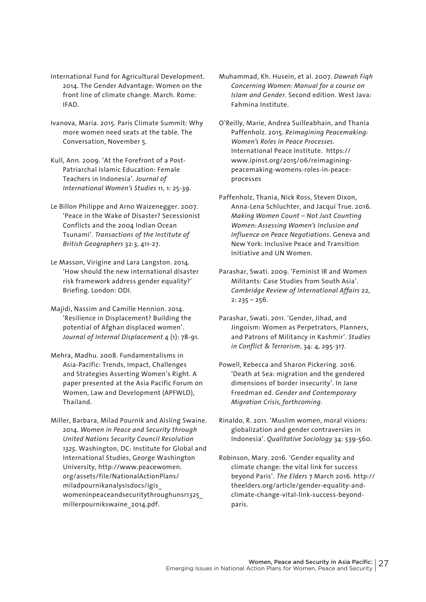- International Fund for Agricultural Development. 2014. The Gender Advantage: Women on the front line of climate change. March. Rome: IFAD.
- Ivanova, Maria. 2015. Paris Climate Summit: Why more women need seats at the table. The Conversation, November 5.
- Kull, Ann. 2009. 'At the Forefront of a Post-Patriarchal Islamic Education: Female Teachers in Indonesia'. *Journal of International Women's Studies* 11, 1: 25-39.
- Le Billon Philippe and Arno Waizenegger. 2007. 'Peace in the Wake of Disaster? Secessionist Conflicts and the 2004 Indian Ocean Tsunami'. *Transactions of the Institute of British Geographers* 32:3, 411-27.
- Le Masson, Virigine and Lara Langston. 2014. 'How should the new international disaster risk framework address gender equality?' Briefing. London: ODI.
- Majidi, Nassim and Camille Hennion. 2014. 'Resilience in Displacement? Building the potential of Afghan displaced women'. *Journal of Internal Displacement* 4 (1): 78-91.
- Mehra, Madhu. 2008. Fundamentalisms in Asia-Pacific: Trends, Impact, Challenges and Strategies Asserting Women's Right. A paper presented at the Asia Pacific Forum on Women, Law and Development (APFWLD), Thailand.
- Miller, Barbara, Milad Pournik and Aisling Swaine. 2014. *Women in Peace and Security through United Nations Security Council Resolution 1325*. Washington, DC: Institute for Global and International Studies, George Washington University, http://www.peacewomen. org/assets/file/NationalActionPlans/ miladpournikanalysisdocs/igis\_ womeninpeaceandsecuritythroughunsr1325\_ millerpournikswaine\_2014.pdf.
- Muhammad, Kh. Husein, et al. 2007. *Dawrah Fiqh Concerning Women: Manual for a course on Islam and Gender*. Second edition. West Java: Fahmina Institute.
- O'Reilly, Marie, Andrea Suilleabhain, and Thania Paffenholz. 2015. *Reimagining Peacemaking: Women's Roles in Peace Processes*. International Peace Institute. https:// www.ipinst.org/2015/06/reimaginingpeacemaking-womens-roles-in-peaceprocesses
- Paffenholz, Thania, Nick Ross, Steven Dixon, Anna-Lena Schluchter, and Jacqui True. 2016. *Making Women Count – Not Just Counting Women: Assessing Women's Inclusion and Influence on Peace Negotiations*. Geneva and New York: Inclusive Peace and Transition Initiative and UN Women.
- Parashar, Swati. 2009. 'Feminist IR and Women Militants: Case Studies from South Asia'. *Cambridge Review of International Affairs* 22,  $2: 235 - 256.$
- Parashar, Swati. 2011. 'Gender, Jihad, and Jingoism: Women as Perpetrators, Planners, and Patrons of Militancy in Kashmir'. *Studies in Conflict & Terrorism*, 34: 4, 295-317.
- Powell, Rebecca and Sharon Pickering. 2016. 'Death at Sea: migration and the gendered dimensions of border insecurity'. In Jane Freedman ed. *Gender and Contemporary Migration Crisis, forthcoming*.
- Rinaldo, R. 2011. 'Muslim women, moral visions: globalization and gender contraversies in Indonesia'. *Qualitative Sociology* 34: 539-560.
- Robinson, Mary. 2016. 'Gender equality and climate change: the vital link for success beyond Paris'. *The Elders* 7 March 2016. http:// theelders.org/article/gender-equality-andclimate-change-vital-link-success-beyondparis.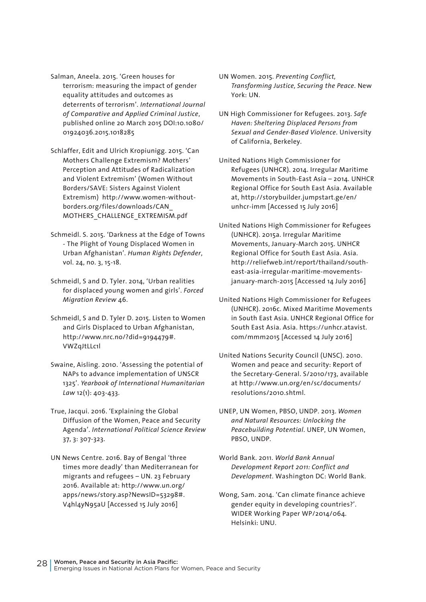- Salman, Aneela. 2015. 'Green houses for terrorism: measuring the impact of gender equality attitudes and outcomes as deterrents of terrorism'. *International Journal of Comparative and Applied Criminal Justice*, published online 20 March 2015 DOI:10.1080/ 01924036.2015.1018285
- Schlaffer, Edit and Ulrich Kropiunigg. 2015. 'Can Mothers Challenge Extremism? Mothers' Perception and Attitudes of Radicalization and Violent Extremism' (Women Without Borders/SAVE: Sisters Against Violent Extremism) http://www.women-withoutborders.org/files/downloads/CAN\_ MOTHERS\_CHALLENGE\_EXTREMISM.pdf
- Schmeidl. S. 2015. 'Darkness at the Edge of Towns - The Plight of Young Displaced Women in Urban Afghanistan'. *Human Rights Defender*, vol. 24, no. 3, 15-18.
- Schmeidl, S and D. Tyler. 2014, 'Urban realities for displaced young women and girls'. *Forced Migration Review* 46.
- Schmeidl, S and D. Tyler D. 2015. Listen to Women and Girls Displaced to Urban Afghanistan, http://www.nrc.no/?did=9194479#. VWZqJtLLc1l
- Swaine, Aisling. 2010. 'Assessing the potential of NAPs to advance implementation of UNSCR 1325'. *Yearbook of International Humanitarian Law* 12(1): 403-433.
- True, Jacqui. 2016. 'Explaining the Global Diffusion of the Women, Peace and Security Agenda'. *International Political Science Review* 37, 3: 307-323.
- UN News Centre. 2016. Bay of Bengal 'three times more deadly' than Mediterranean for migrants and refugees – UN. 23 February 2016. Available at: http://www.un.org/ apps/news/story.asp?NewsID=53298#. V4hl4yN95aU [Accessed 15 July 2016]
- UN Women. 2015. *Preventing Conflict, Transforming Justice, Securing the Peace*. New York: UN.
- UN High Commissioner for Refugees. 2013. *Safe Haven: Sheltering Displaced Persons from Sexual and Gender-Based Violence*. University of California, Berkeley.
- United Nations High Commissioner for Refugees (UNHCR). 2014. Irregular Maritime Movements in South-East Asia – 2014. UNHCR Regional Office for South East Asia. Available at, http://storybuilder.jumpstart.ge/en/ unhcr-imm [Accessed 15 July 2016]
- United Nations High Commissioner for Refugees (UNHCR). 2015a. Irregular Maritime Movements, January-March 2015. UNHCR Regional Office for South East Asia. Asia. http://reliefweb.int/report/thailand/southeast-asia-irregular-maritime-movementsjanuary-march-2015 [Accessed 14 July 2016]
- United Nations High Commissioner for Refugees (UNHCR). 2016c. Mixed Maritime Movements in South East Asia. UNHCR Regional Office for South East Asia. Asia. https://unhcr.atavist. com/mmm2015 [Accessed 14 July 2016]
- United Nations Security Council (UNSC). 2010. Women and peace and security: Report of the Secretary-General. S/2010/173, available at http://www.un.org/en/sc/documents/ resolutions/2010.shtml.
- UNEP, UN Women, PBSO, UNDP. 2013. *Women and Natural Resources: Unlocking the Peacebuilding Potential*. UNEP, UN Women, PBSO, UNDP.
- World Bank. 2011. *World Bank Annual Development Report 2011: Conflict and Development*. Washington DC: World Bank.
- Wong, Sam. 2014. 'Can climate finance achieve gender equity in developing countries?'. WIDER Working Paper WP/2014/064. Helsinki: UNU.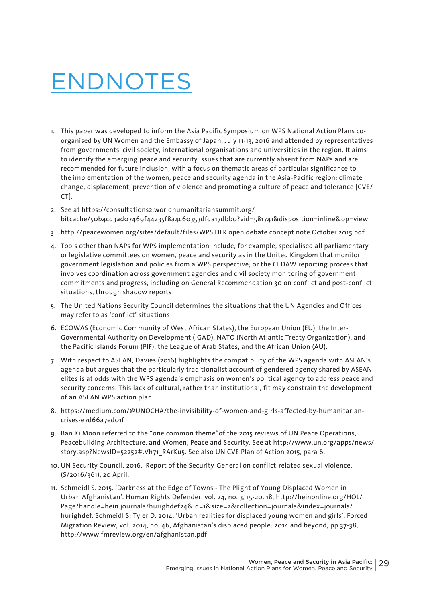## ENDNOTES

- 1. This paper was developed to inform the Asia Pacific Symposium on WPS National Action Plans coorganised by UN Women and the Embassy of Japan, July 11-13, 2016 and attended by representatives from governments, civil society, international organisations and universities in the region. It aims to identify the emerging peace and security issues that are currently absent from NAPs and are recommended for future inclusion, with a focus on thematic areas of particular significance to the implementation of the women, peace and security agenda in the Asia-Pacific region: climate change, displacement, prevention of violence and promoting a culture of peace and tolerance [CVE/ CT].
- 2. See at https://consultations2.worldhumanitariansummit.org/ bitcache/50b4cd3ad07469f44235f8a4c60353dfda17dbb0?vid=581741&disposition=inline&op=view
- 3. http://peacewomen.org/sites/default/files/WPS HLR open debate concept note October 2015.pdf
- 4. Tools other than NAPs for WPS implementation include, for example, specialised all parliamentary or legislative committees on women, peace and security as in the United Kingdom that monitor government legislation and policies from a WPS perspective; or the CEDAW reporting process that involves coordination across government agencies and civil society monitoring of government commitments and progress, including on General Recommendation 30 on conflict and post-conflict situations, through shadow reports
- 5. The United Nations Security Council determines the situations that the UN Agencies and Offices may refer to as 'conflict' situations
- 6. ECOWAS (Economic Community of West African States), the European Union (EU), the Inter-Governmental Authority on Development (IGAD), NATO (North Atlantic Treaty Organization), and the Pacific Islands Forum (PIF), the League of Arab States, and the African Union (AU).
- 7. With respect to ASEAN, Davies (2016) highlights the compatibility of the WPS agenda with ASEAN's agenda but argues that the particularly traditionalist account of gendered agency shared by ASEAN elites is at odds with the WPS agenda's emphasis on women's political agency to address peace and security concerns. This lack of cultural, rather than institutional, fit may constrain the development of an ASEAN WPS action plan.
- 8. https://medium.com/@UNOCHA/the-invisibility-of-women-and-girls-affected-by-humanitariancrises-e7d66a7ed01f
- 9. Ban Ki Moon referred to the "one common theme"of the 2015 reviews of UN Peace Operations, Peacebuilding Architecture, and Women, Peace and Security. See at http://www.un.org/apps/news/ story.asp?NewsID=52252#.Vh71\_RArKu5. See also UN CVE Plan of Action 2015, para 6.
- 10. UN Security Council. 2016. Report of the Security-General on conflict-related sexual violence. (S/2016/361), 20 April.
- 11. Schmeidl S. 2015. 'Darkness at the Edge of Towns The Plight of Young Displaced Women in Urban Afghanistan'. Human Rights Defender, vol. 24, no. 3, 15-20. 18, http://heinonline.org/HOL/ Page?handle=hein.journals/hurighdef24&id=1&size=2&collection=journals&index=journals/ hurighdef. Schmeidl S; Tyler D. 2014. 'Urban realities for displaced young women and girls', Forced Migration Review, vol. 2014, no. 46, Afghanistan's displaced people: 2014 and beyond, pp.37-38, http://www.fmreview.org/en/afghanistan.pdf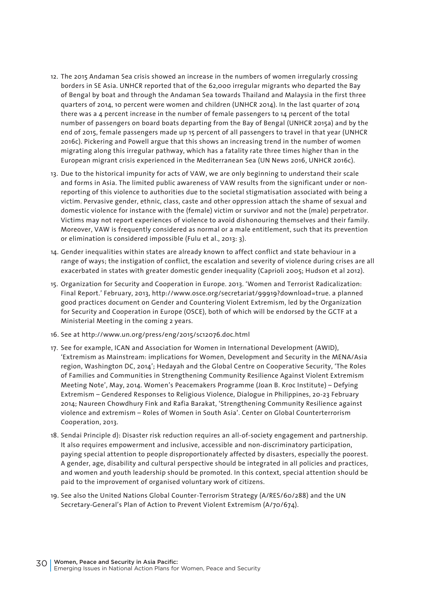- 12. The 2015 Andaman Sea crisis showed an increase in the numbers of women irregularly crossing borders in SE Asia. UNHCR reported that of the 62,000 irregular migrants who departed the Bay of Bengal by boat and through the Andaman Sea towards Thailand and Malaysia in the first three quarters of 2014, 10 percent were women and children (UNHCR 2014). In the last quarter of 2014 there was a 4 percent increase in the number of female passengers to 14 percent of the total number of passengers on board boats departing from the Bay of Bengal (UNHCR 2015a) and by the end of 2015, female passengers made up 15 percent of all passengers to travel in that year (UNHCR 2016c). Pickering and Powell argue that this shows an increasing trend in the number of women migrating along this irregular pathway, which has a fatality rate three times higher than in the European migrant crisis experienced in the Mediterranean Sea (UN News 2016, UNHCR 2016c).
- 13. Due to the historical impunity for acts of VAW, we are only beginning to understand their scale and forms in Asia. The limited public awareness of VAW results from the significant under or nonreporting of this violence to authorities due to the societal stigmatisation associated with being a victim. Pervasive gender, ethnic, class, caste and other oppression attach the shame of sexual and domestic violence for instance with the (female) victim or survivor and not the (male) perpetrator. Victims may not report experiences of violence to avoid dishonouring themselves and their family. Moreover, VAW is frequently considered as normal or a male entitlement, such that its prevention or elimination is considered impossible (Fulu et al., 2013: 3).
- 14. Gender inequalities within states are already known to affect conflict and state behaviour in a range of ways; the instigation of conflict, the escalation and severity of violence during crises are all exacerbated in states with greater domestic gender inequality (Caprioli 2005; Hudson et al 2012).
- 15. Organization for Security and Cooperation in Europe. 2013. 'Women and Terrorist Radicalization: Final Report.' February, 2013, http://www.osce.org/secretariat/99919?download=true. a planned good practices document on Gender and Countering Violent Extremism, led by the Organization for Security and Cooperation in Europe (OSCE), both of which will be endorsed by the GCTF at a Ministerial Meeting in the coming 2 years.
- 16. See at http://www.un.org/press/eng/2015/sc12076.doc.html
- 17. See for example, ICAN and Association for Women in International Development (AWID), 'Extremism as Mainstream: implications for Women, Development and Security in the MENA/Asia region, Washington DC, 2014'; Hedayah and the Global Centre on Cooperative Security, 'The Roles of Families and Communities in Strengthening Community Resilience Against Violent Extremism Meeting Note', May, 2014. Women's Peacemakers Programme (Joan B. Kroc Institute) – Defying Extremism – Gendered Responses to Religious Violence, Dialogue in Philippines, 20-23 February 2014; Naureen Chowdhury Fink and Rafia Barakat, 'Strengthening Community Resilience against violence and extremism – Roles of Women in South Asia'. Center on Global Counterterrorism Cooperation, 2013.
- 18. Sendai Principle d): Disaster risk reduction requires an all-of-society engagement and partnership. It also requires empowerment and inclusive, accessible and non-discriminatory participation, paying special attention to people disproportionately affected by disasters, especially the poorest. A gender, age, disability and cultural perspective should be integrated in all policies and practices, and women and youth leadership should be promoted. In this context, special attention should be paid to the improvement of organised voluntary work of citizens.
- 19. See also the United Nations Global Counter-Terrorism Strategy (A/RES/60/288) and the UN Secretary-General's Plan of Action to Prevent Violent Extremism (A/70/674).